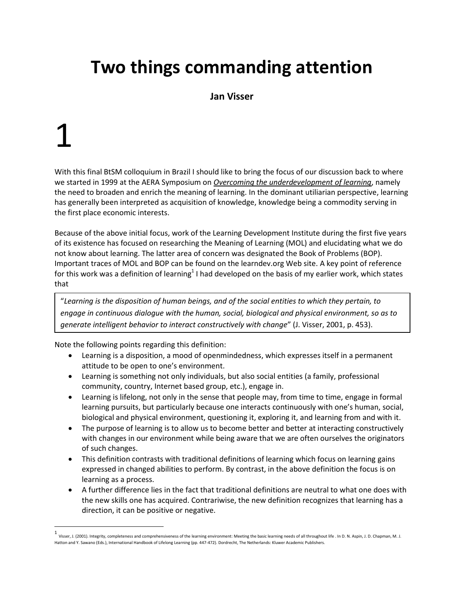### **Two things commanding attention**

#### **Jan Visser**

## 1

 $\overline{a}$ 

With this final BtSM colloquium in Brazil I should like to bring the focus of our discussion back to where we started in 1999 at the AERA Symposium on *[Overcoming the underdevelopment of learning](http://www.learndev.org/aera.html)*, namely the need to broaden and enrich the meaning of learning. In the dominant utiliarian perspective, learning has generally been interpreted as acquisition of knowledge, knowledge being a commodity serving in the first place economic interests.

Because of the above initial focus, work of the Learning Development Institute during the first five years of its existence has focused on researching the Meaning of Learning (MOL) and elucidating what we do not know about learning. The latter area of concern was designated the Book of Problems (BOP). Important traces of MOL and BOP can be found on the learndev.org Web site. A key point of reference for this work was a definition of learning $^1$  I had developed on the basis of my earlier work, which states that

"*Learning is the disposition of human beings, and of the social entities to which they pertain, to engage in continuous dialogue with the human, social, biological and physical environment, so as to generate intelligent behavior to interact constructively with change*" (J. Visser, 2001, p. 453).

Note the following points regarding this definition:

- Learning is a disposition, a mood of openmindedness, which expresses itself in a permanent attitude to be open to one's environment.
- Learning is something not only individuals, but also social entities (a family, professional community, country, Internet based group, etc.), engage in.
- Learning is lifelong, not only in the sense that people may, from time to time, engage in formal learning pursuits, but particularly because one interacts continuously with one's human, social, biological and physical environment, questioning it, exploring it, and learning from and with it.
- The purpose of learning is to allow us to become better and better at interacting constructively with changes in our environment while being aware that we are often ourselves the originators of such changes.
- This definition contrasts with traditional definitions of learning which focus on learning gains expressed in changed abilities to perform. By contrast, in the above definition the focus is on learning as a process.
- A further difference lies in the fact that traditional definitions are neutral to what one does with the new skills one has acquired. Contrariwise, the new definition recognizes that learning has a direction, it can be positive or negative.

<sup>1</sup> Visser, J. (2001). Integrity, completeness and comprehensiveness of the learning environment: Meeting the basic learning needs of all throughout life . In D. N. Aspin, J. D. Chapman, M. J. Hatton and Y. Sawano (Eds.), International Handbook of Lifelong Learning (pp. 447-472). Dordrecht, The Netherlands: Kluwer Academic Publishers.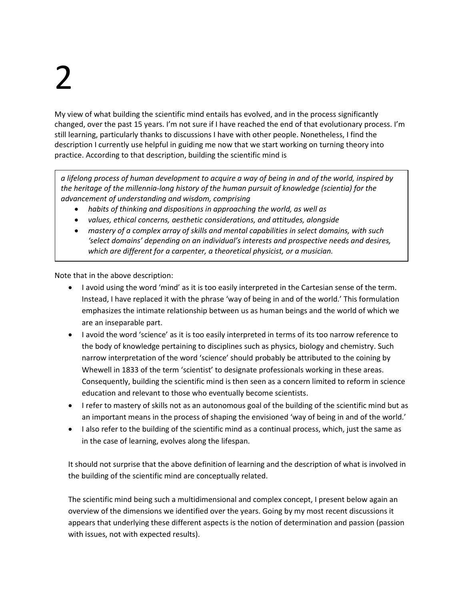# 2

My view of what building the scientific mind entails has evolved, and in the process significantly changed, over the past 15 years. I'm not sure if I have reached the end of that evolutionary process. I'm still learning, particularly thanks to discussions I have with other people. Nonetheless, I find the description I currently use helpful in guiding me now that we start working on turning theory into practice. According to that description, building the scientific mind is

*a lifelong process of human development to acquire a way of being in and of the world, inspired by the heritage of the millennia-long history of the human pursuit of knowledge (scientia) for the advancement of understanding and wisdom, comprising* 

- *habits of thinking and dispositions in approaching the world, as well as*
- *values, ethical concerns, aesthetic considerations, and attitudes, alongside*
- *mastery of a complex array of skills and mental capabilities in select domains, with such 'select domains' depending on an individual's interests and prospective needs and desires, which are different for a carpenter, a theoretical physicist, or a musician.*

Note that in the above description:

- I avoid using the word 'mind' as it is too easily interpreted in the Cartesian sense of the term. Instead, I have replaced it with the phrase 'way of being in and of the world.' This formulation emphasizes the intimate relationship between us as human beings and the world of which we are an inseparable part.
- I avoid the word 'science' as it is too easily interpreted in terms of its too narrow reference to the body of knowledge pertaining to disciplines such as physics, biology and chemistry. Such narrow interpretation of the word 'science' should probably be attributed to the coining by Whewell in 1833 of the term 'scientist' to designate professionals working in these areas. Consequently, building the scientific mind is then seen as a concern limited to reform in science education and relevant to those who eventually become scientists.
- I refer to mastery of skills not as an autonomous goal of the building of the scientific mind but as an important means in the process of shaping the envisioned 'way of being in and of the world.'
- I also refer to the building of the scientific mind as a continual process, which, just the same as in the case of learning, evolves along the lifespan.

It should not surprise that the above definition of learning and the description of what is involved in the building of the scientific mind are conceptually related.

The scientific mind being such a multidimensional and complex concept, I present below again an overview of the dimensions we identified over the years. Going by my most recent discussions it appears that underlying these different aspects is the notion of determination and passion (passion with issues, not with expected results).